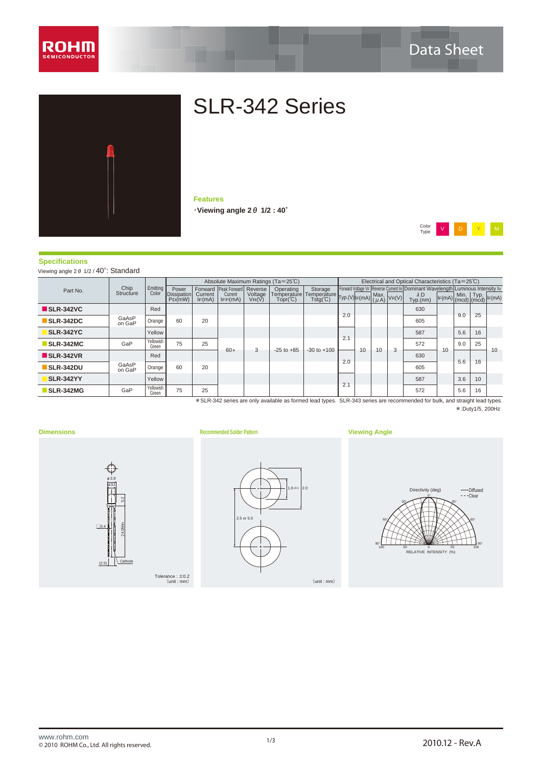



# SLR-342 Series

**Features** ・**Viewing angle 2θ 1/2 : 40°**



### **Specifications**

Viewing angle 2θ 1/2 / 40°: Standard

|                 |                    | Power     |          |                        |                  | Operating                                    | Storage                                              |                                |                          |    |    |                         |                                                                                    |     |                                      |                                                                                                                                                                                      |
|-----------------|--------------------|-----------|----------|------------------------|------------------|----------------------------------------------|------------------------------------------------------|--------------------------------|--------------------------|----|----|-------------------------|------------------------------------------------------------------------------------|-----|--------------------------------------|--------------------------------------------------------------------------------------------------------------------------------------------------------------------------------------|
|                 |                    | $P_D(mW)$ | IF(mA)   | IFP(mA)                | VR(V)            | $Topr^{\circ}C)$                             |                                                      |                                |                          |    |    | $\lambda$ D<br>Typ.(nm) |                                                                                    |     |                                      | $ I_F(mA) $                                                                                                                                                                          |
|                 | Red                |           |          |                        |                  |                                              |                                                      |                                |                          |    |    | 630                     |                                                                                    |     |                                      |                                                                                                                                                                                      |
| GaAsP<br>on GaP | Orange             | 60        | 20       |                        |                  |                                              |                                                      |                                |                          |    |    | 605                     |                                                                                    |     |                                      |                                                                                                                                                                                      |
|                 | Yellow             |           |          |                        |                  |                                              |                                                      |                                |                          |    |    | 587                     |                                                                                    | 5.6 | 16                                   |                                                                                                                                                                                      |
| GaP             | Yellowish<br>Green | 75        | 25       |                        |                  |                                              |                                                      |                                |                          |    |    | 572                     |                                                                                    | 9.0 | 25                                   | 10                                                                                                                                                                                   |
|                 | Red                |           |          |                        |                  |                                              |                                                      |                                |                          |    |    | 630                     |                                                                                    |     |                                      |                                                                                                                                                                                      |
| GaAsP<br>on GaP | Orange             | 60        | 20       |                        |                  |                                              |                                                      |                                |                          |    |    | 605                     |                                                                                    |     |                                      |                                                                                                                                                                                      |
|                 | Yellow             |           |          |                        |                  |                                              |                                                      |                                |                          |    |    | 587                     |                                                                                    | 3.6 | 10                                   |                                                                                                                                                                                      |
| GaP             | Yellowish<br>Green | 75        | 25       |                        |                  |                                              |                                                      |                                |                          |    |    | 572                     |                                                                                    | 5.6 | 16                                   |                                                                                                                                                                                      |
|                 | Chip<br>Structure  | Color     | Emitting | Dissipation<br>Current | Current<br>$60*$ | Forward Peak Forward Reverse<br>Voltage<br>3 | Absolute Maximum Ratings (Ta=25°C)<br>$-25$ to $+85$ | Temperature<br>$-30$ to $+100$ | 2.0<br>2.1<br>2.0<br>2.1 | 10 | 10 | 3                       | Temperature Typ.(V) IF(mA) $\left \frac{\text{Max.}}{(\mu \text{A})}\right $ VR(V) | 10  | $\left I_F(mA)\right $<br>9.0<br>5.6 | Electrical and Optical Characteristics (Ta=25°C)<br>Forward Voltage VF Reverse Current IR Dominant Wavelength Luminous Intensity Iv<br>$\sqrt{\frac{Min.}{(mcd)}(mcd)}}$<br>25<br>16 |

\*:Duty1/5, 200Hz \*SLR-342 series are only available as formed lead types. SLR-343 series are recommended for bulk, and straight lead types.

(2.5) □0.4 24.0Min.  $24.0$ Min.  $\begin{bmatrix} 5.2 \\ .5.2 \end{bmatrix}$ φ3.8  $|φ3.1|$ 





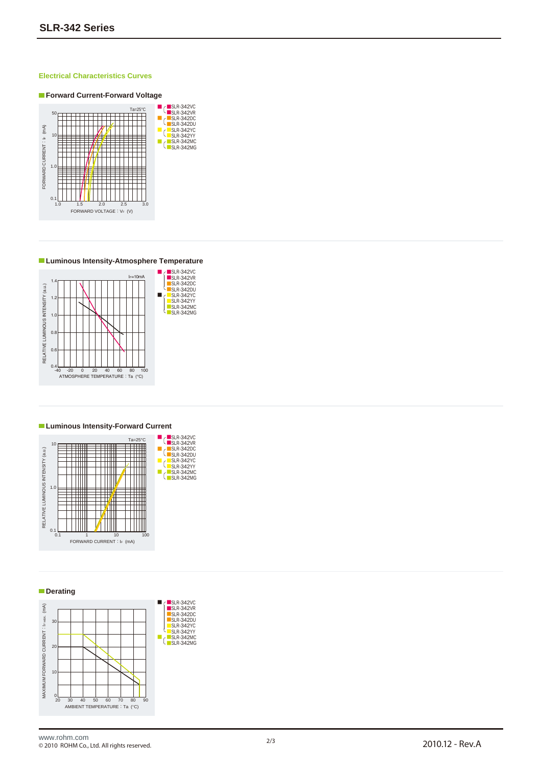### **Electrical Characteristics Curves**



**Luminous Intensity-Atmosphere Temperature**



#### **Luminous Intensity-Forward Current**





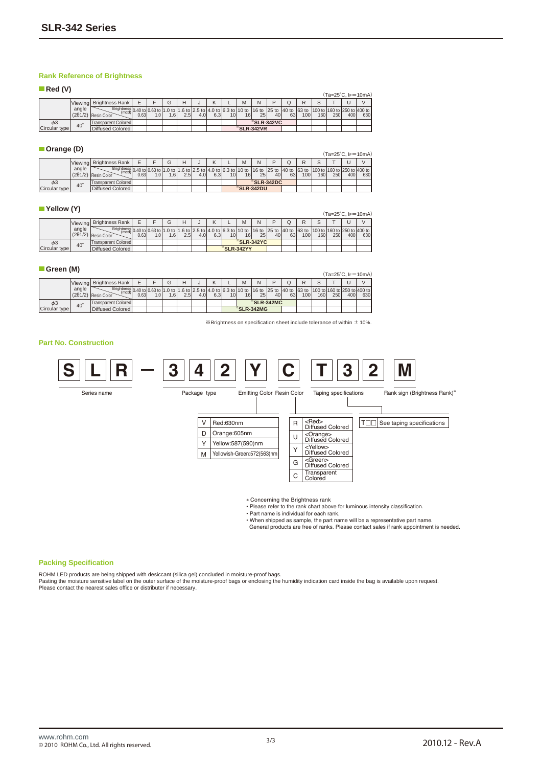### **Rank Reference of Brightness**

| $\blacksquare$ Red (V) |            |                                                                                                                                                                                                                                                                        |       |     |       |     |                  |     |                 |    |            |    |    |     |     |     |     |                              |
|------------------------|------------|------------------------------------------------------------------------------------------------------------------------------------------------------------------------------------------------------------------------------------------------------------------------|-------|-----|-------|-----|------------------|-----|-----------------|----|------------|----|----|-----|-----|-----|-----|------------------------------|
|                        |            |                                                                                                                                                                                                                                                                        |       |     |       |     |                  |     |                 |    |            |    |    |     |     |     |     | $(Ta=25^{\circ}C, I_F=10mA)$ |
|                        |            | Viewing Brightness Rank                                                                                                                                                                                                                                                | F     |     | G     | н   |                  |     |                 | M  | N          | D  |    |     |     |     |     | $\mathcal{U}$                |
|                        | angle      | Brightness 0.40 to 0.63 to 1.0 to 1.6 to 2.5 to 4.0 to 6.3 to 10 to 16 to 25 to 40 to 53 to 100 to 53 to 100 to 160 to 250 to 400 to 160 to 160 to 160 to 160 to 160 to 160 to 160 to 160 to 160 to 160 to 160 to 160 to 160 t<br>(mcd)<br>$(2\theta 1/2)$ Resin Color | 0.631 | 1.0 | l .61 | 2.5 | 4.0 <sub>1</sub> | 6.3 | 10 <sup>1</sup> | 16 | 25         | 40 | 63 | 100 | 160 | 250 | 400 | 630                          |
| $\phi$ 3               | $40^\circ$ | <b>Transparent Colored</b>                                                                                                                                                                                                                                             |       |     |       |     |                  |     |                 |    | *SLR-342VC |    |    |     |     |     |     |                              |
| Circular type          |            | Diffused Colored                                                                                                                                                                                                                                                       |       |     |       |     |                  |     |                 |    | *SLR-342VR |    |    |     |     |     |     |                              |

### **Orange (D)**

|               | .       |                                                                                                                                                                                |      |                  |     |                  |      |     |                 |    |                                |    |    |                  |     |     |     | $(Ta=25^{\circ}C, I_F=10mA)$ |
|---------------|---------|--------------------------------------------------------------------------------------------------------------------------------------------------------------------------------|------|------------------|-----|------------------|------|-----|-----------------|----|--------------------------------|----|----|------------------|-----|-----|-----|------------------------------|
|               | Viewing | Brightness Rank                                                                                                                                                                |      |                  |     | н                |      |     |                 | M  | N                              |    |    |                  |     |     |     | $\mathcal{U}$                |
|               | angle   | Brightness 0.40 to 0.63 to 1.0 to 1.6 to 12.5 to 2.6 co 14.0 to 6.3 to 10 to 16 to 125 to 140 to 63 to 100 to 160 to 1250 to 400 to 1<br>(mcd).<br>$(2\theta 1/2)$ Resin Color | 0.63 | 1.0 <sub>l</sub> | 1.6 | 2.5 <sub>1</sub> | 4.01 | 6.3 | 10 <sup>1</sup> | 16 | 25                             | 40 | 63 | 100 <sub>l</sub> | 160 | 250 | 400 | 630                          |
| $\phi$ 3      | 40      | Transparent Colored                                                                                                                                                            |      |                  |     |                  |      |     |                 |    | $\sqrt[36]{\text{SLR}}$ -342DC |    |    |                  |     |     |     |                              |
| Circular type |         | Diffused Colored                                                                                                                                                               |      |                  |     |                  |      |     |                 |    | *SLR-342DU                     |    |    |                  |     |     |     |                              |

#### **Yellow (Y)**

|               |            |                                                                                                                                                                                          |      |                  |     |     |     |     |                 |           |            |    |    |                  |     |     |     | $(Ta=25^{\circ}C, I_F=10mA)$ |
|---------------|------------|------------------------------------------------------------------------------------------------------------------------------------------------------------------------------------------|------|------------------|-----|-----|-----|-----|-----------------|-----------|------------|----|----|------------------|-----|-----|-----|------------------------------|
|               | Viewing    | <b>Brightness Rank</b>                                                                                                                                                                   |      |                  |     |     |     |     |                 | M         | N          | ח  |    |                  |     |     |     | $\mathcal{U}$                |
|               | angle      | Brightness   0.40 to   0.63 to   1.0 to   1.6 to   2.5 to   4.0 to   6.3 to   10 to   16 to   25 to   40 to   63 to   100 to   160 to   250 to   400 to  <br>$(2\theta 1/2)$ Resin Color | 0.63 | 1.0 <sub>l</sub> | 1.6 | 2.5 | 4.0 | 6.3 | 10 <sup>1</sup> | 16        | 25         | 40 | 63 | 100 <sup>1</sup> | 160 | 250 | 400 | 630                          |
| $\phi$ 3      | $40^\circ$ | Transparent Colored                                                                                                                                                                      |      |                  |     |     |     |     |                 |           | *SLR-342YC |    |    |                  |     |     |     |                              |
| Circular type |            | Diffused Colored                                                                                                                                                                         |      |                  |     |     |     |     |                 | SLR-342YY |            |    |    |                  |     |     |     |                              |

#### **Green (M)**

|               |                          |                                                                                                                                                                                                                                               |      |     |      |      |                  |     |                 |    |                        |    |    |                  |     |     |     | (Ta=25°C. IF=10mA) |
|---------------|--------------------------|-----------------------------------------------------------------------------------------------------------------------------------------------------------------------------------------------------------------------------------------------|------|-----|------|------|------------------|-----|-----------------|----|------------------------|----|----|------------------|-----|-----|-----|--------------------|
|               |                          | Viewing Brightness Rank I                                                                                                                                                                                                                     |      |     |      | н    |                  |     |                 | M  | N                      |    |    |                  |     |     |     | $\mathcal{U}$      |
|               | angle<br>$(2\theta 1/2)$ | Brightness 0.40 to 10.63 to 1.0 to 1.6 to 2.5 to 4.0 to 6.3 to 10 to 16 to 25 to 40 to 63 to 100 to 160 to 250 to 400 to 63 to 100 to 160 to 250 to 400 to 63 to 100 to 160 to 250 to 400 to 63 to 100 to 160 to 250 to 400 to<br>Resin Color | 0.63 | 1.0 | 1.61 | 2.51 | 4.0 <sub>1</sub> | 6.3 | 10 <sup>1</sup> | 16 | 25                     | 40 | 63 | 100 <sup>1</sup> | 160 | 250 | 400 | 630 <sup>I</sup>   |
| $\phi$ 3      | $40^\circ$               | Transparent Colored                                                                                                                                                                                                                           |      |     |      |      |                  |     |                 |    | $\mathrm{K}$ SLR-342MC |    |    |                  |     |     |     |                    |
| Circular type |                          | Diffused Colored                                                                                                                                                                                                                              |      |     |      |      |                  |     |                 |    | $\mathrm{K}$ SLR-342MG |    |    |                  |     |     |     |                    |

 $*$ Brightness on specification sheet include tolerance of within  $\pm$  10%.

#### **Part No. Construction**



∗ Concerning the Brightness rank • Please refer to the rank chart above for luminous intensity classification.

• Part name is individual for each rank.

• When shipped as sample, the part name will be a representative part name. General products are free of ranks. Please contact sales if rank appointment is needed.

#### **Packing Specification**

ROHM LED products are being shipped with desiccant (silica gel) concluded in moisture-proof bags.<br>Pasting the moisture sensitive label on the outer surface of the moisture-proof bags or enclosing the humidity indication ca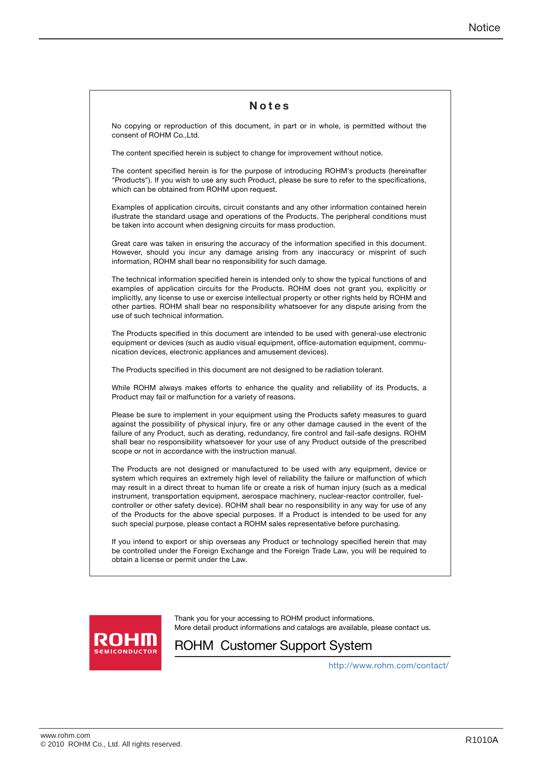| Notes                                                                                                                                                                                                                                                                                                                                                                                                                                                                                                                                                                                                                                                                                  |
|----------------------------------------------------------------------------------------------------------------------------------------------------------------------------------------------------------------------------------------------------------------------------------------------------------------------------------------------------------------------------------------------------------------------------------------------------------------------------------------------------------------------------------------------------------------------------------------------------------------------------------------------------------------------------------------|
| No copying or reproduction of this document, in part or in whole, is permitted without the<br>consent of ROHM Co., Ltd.                                                                                                                                                                                                                                                                                                                                                                                                                                                                                                                                                                |
| The content specified herein is subject to change for improvement without notice.                                                                                                                                                                                                                                                                                                                                                                                                                                                                                                                                                                                                      |
| The content specified herein is for the purpose of introducing ROHM's products (hereinafter<br>"Products"). If you wish to use any such Product, please be sure to refer to the specifications,<br>which can be obtained from ROHM upon request.                                                                                                                                                                                                                                                                                                                                                                                                                                       |
| Examples of application circuits, circuit constants and any other information contained herein<br>illustrate the standard usage and operations of the Products. The peripheral conditions must<br>be taken into account when designing circuits for mass production.                                                                                                                                                                                                                                                                                                                                                                                                                   |
| Great care was taken in ensuring the accuracy of the information specified in this document.<br>However, should you incur any damage arising from any inaccuracy or misprint of such<br>information, ROHM shall bear no responsibility for such damage.                                                                                                                                                                                                                                                                                                                                                                                                                                |
| The technical information specified herein is intended only to show the typical functions of and<br>examples of application circuits for the Products. ROHM does not grant you, explicitly or<br>implicitly, any license to use or exercise intellectual property or other rights held by ROHM and<br>other parties. ROHM shall bear no responsibility whatsoever for any dispute arising from the<br>use of such technical information.                                                                                                                                                                                                                                               |
| The Products specified in this document are intended to be used with general-use electronic<br>equipment or devices (such as audio visual equipment, office-automation equipment, commu-<br>nication devices, electronic appliances and amusement devices).                                                                                                                                                                                                                                                                                                                                                                                                                            |
| The Products specified in this document are not designed to be radiation tolerant.                                                                                                                                                                                                                                                                                                                                                                                                                                                                                                                                                                                                     |
| While ROHM always makes efforts to enhance the quality and reliability of its Products, a<br>Product may fail or malfunction for a variety of reasons.                                                                                                                                                                                                                                                                                                                                                                                                                                                                                                                                 |
| Please be sure to implement in your equipment using the Products safety measures to guard<br>against the possibility of physical injury, fire or any other damage caused in the event of the<br>failure of any Product, such as derating, redundancy, fire control and fail-safe designs. ROHM<br>shall bear no responsibility whatsoever for your use of any Product outside of the prescribed<br>scope or not in accordance with the instruction manual.                                                                                                                                                                                                                             |
| The Products are not designed or manufactured to be used with any equipment, device or<br>system which requires an extremely high level of reliability the failure or malfunction of which<br>may result in a direct threat to human life or create a risk of human injury (such as a medical<br>instrument, transportation equipment, aerospace machinery, nuclear-reactor controller, fuel-<br>controller or other safety device). ROHM shall bear no responsibility in any way for use of any<br>of the Products for the above special purposes. If a Product is intended to be used for any<br>such special purpose, please contact a ROHM sales representative before purchasing. |
| If you intend to export or ship overseas any Product or technology specified herein that may<br>be controlled under the Foreign Exchange and the Foreign Trade Law, you will be required to<br>obtain a license or permit under the Law.                                                                                                                                                                                                                                                                                                                                                                                                                                               |



Thank you for your accessing to ROHM product informations. More detail product informations and catalogs are available, please contact us.

## ROHM Customer Support System

http://www.rohm.com/contact/